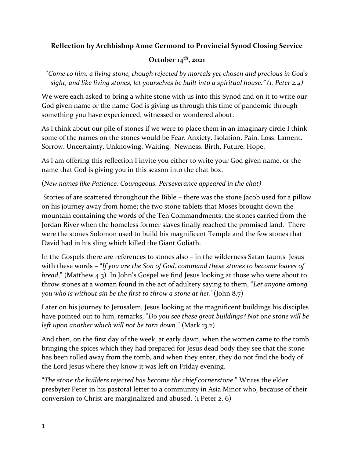## **Reflection by Archbishop Anne Germond to Provincial Synod Closing Service**

## **October 14th, 2021**

"*Come to him, a living stone, though rejected by mortals yet chosen and precious in God's sight, and like living stones, let yourselves be built into a spiritual house." (1. Peter 2.4)*

We were each asked to bring a white stone with us into this Synod and on it to write our God given name or the name God is giving us through this time of pandemic through something you have experienced, witnessed or wondered about.

As I think about our pile of stones if we were to place them in an imaginary circle I think some of the names on the stones would be Fear. Anxiety. Isolation. Pain. Loss. Lament. Sorrow. Uncertainty. Unknowing. Waiting. Newness. Birth. Future. Hope.

As I am offering this reflection I invite you either to write your God given name, or the name that God is giving you in this season into the chat box.

(*New names like Patience. Courageous. Perseverance appeared in the chat)* 

Stories of are scattered throughout the Bible – there was the stone Jacob used for a pillow on his journey away from home; the two stone tablets that Moses brought down the mountain containing the words of the Ten Commandments; the stones carried from the Jordan River when the homeless former slaves finally reached the promised land. There were the stones Solomon used to build his magnificent Temple and the few stones that David had in his sling which killed the Giant Goliath.

In the Gospels there are references to stones also – in the wilderness Satan taunts Jesus with these words – "*If you are the Son of God, command these stones to become loaves of bread*," (Matthew 4.3) In John's Gospel we find Jesus looking at those who were about to throw stones at a woman found in the act of adultery saying to them, "*Let anyone among you who is without sin be the first to throw a stone at her.*"(John 8.7)

Later on his journey to Jerusalem, Jesus looking at the magnificent buildings his disciples have pointed out to him, remarks, "*Do you see these great buildings? Not one stone will be left upon another which will not be torn down.*" (Mark 13.2)

And then, on the first day of the week, at early dawn, when the women came to the tomb bringing the spices which they had prepared for Jesus dead body they see that the stone has been rolled away from the tomb, and when they enter, they do not find the body of the Lord Jesus where they know it was left on Friday evening.

"*The stone the builders rejected has become the chief cornerstone*." Writes the elder presbyter Peter in his pastoral letter to a community in Asia Minor who, because of their conversion to Christ are marginalized and abused. (1 Peter 2. 6)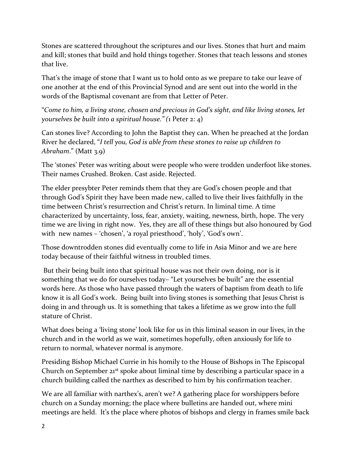Stones are scattered throughout the scriptures and our lives. Stones that hurt and maim and kill; stones that build and hold things together. Stones that teach lessons and stones that live.

That's the image of stone that I want us to hold onto as we prepare to take our leave of one another at the end of this Provincial Synod and are sent out into the world in the words of the Baptismal covenant are from that Letter of Peter.

"*Come to him, a living stone, chosen and precious in God's sight, and like living stones, let yourselves be built into a spiritual house." (*1 Peter 2: 4)

Can stones live? According to John the Baptist they can. When he preached at the Jordan River he declared, "*I tell you, God is able from these stones to raise up children to*  Abraham." (Matt 3.9)

The 'stones' Peter was writing about were people who were trodden underfoot like stones. Their names Crushed. Broken. Cast aside. Rejected.

The elder presybter Peter reminds them that they are God's chosen people and that through God's Spirit they have been made new, called to live their lives faithfully in the time between Christ's resurrection and Christ's return. In liminal time. A time characterized by uncertainty, loss, fear, anxiety, waiting, newness, birth, hope. The very time we are living in right now. Yes, they are all of these things but also honoured by God with new names – 'chosen', 'a royal priesthood', 'holy', 'God's own'.

Those downtrodden stones did eventually come to life in Asia Minor and we are here today because of their faithful witness in troubled times.

But their being built into that spiritual house was not their own doing, nor is it something that we do for ourselves today– "Let yourselves be built" are the essential words here. As those who have passed through the waters of baptism from death to life know it is all God's work. Being built into living stones is something that Jesus Christ is doing in and through us. It is something that takes a lifetime as we grow into the full stature of Christ.

What does being a 'living stone' look like for us in this liminal season in our lives, in the church and in the world as we wait, sometimes hopefully, often anxiously for life to return to normal, whatever normal is anymore.

Presiding Bishop Michael Currie in his homily to the House of Bishops in The Episcopal Church on September 21st spoke about liminal time by describing a particular space in a church building called the narthex as described to him by his confirmation teacher.

We are all familiar with narthex's, aren't we? A gathering place for worshippers before church on a Sunday morning; the place where bulletins are handed out, where mini meetings are held. It's the place where photos of bishops and clergy in frames smile back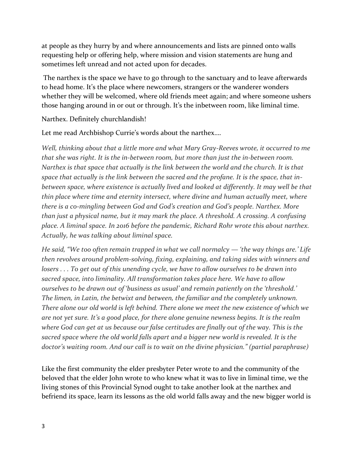at people as they hurry by and where announcements and lists are pinned onto walls requesting help or offering help, where mission and vision statements are hung and sometimes left unread and not acted upon for decades.

The narthex is the space we have to go through to the sanctuary and to leave afterwards to head home. It's the place where newcomers, strangers or the wanderer wonders whether they will be welcomed, where old friends meet again; and where someone ushers those hanging around in or out or through. It's the inbetween room, like liminal time.

Narthex. Definitely churchlandish!

Let me read Archbishop Currie's words about the narthex….

*Well, thinking about that a little more and what Mary Gray-Reeves wrote, it occurred to me that she was right. It is the in-between room, but more than just the in-between room. Narthex is that space that actually is the link between the world and the church. It is that space that actually is the link between the sacred and the profane. It is the space, that inbetween space, where existence is actually lived and looked at differently. It may well be that thin place where time and eternity intersect, where divine and human actually meet, where there is a co-mingling between God and God's creation and God's people. Narthex. More than just a physical name, but it may mark the place. A threshold. A crossing. A confusing place. A liminal space. In 2016 before the pandemic, Richard Rohr wrote this about narthex. Actually, he was talking about liminal space.*

*He said, "We too often remain trapped in what we call normalcy — 'the way things are.' Life then revolves around problem-solving, fixing, explaining, and taking sides with winners and losers . . . To get out of this unending cycle, we have to allow ourselves to be drawn into sacred space, into liminality. All transformation takes place here. We have to allow ourselves to be drawn out of 'business as usual' and remain patiently on the 'threshold.' The limen, in Latin, the betwixt and between, the familiar and the completely unknown. There alone our old world is left behind. There alone we meet the new existence of which we are not yet sure. It's a good place, for there alone genuine newness begins. It is the realm where God can get at us because our false certitudes are finally out of the way. This is the sacred space where the old world falls apart and a bigger new world is revealed. It is the doctor's waiting room. And our call is to wait on the divine physician." (partial paraphrase)*

Like the first community the elder presbyter Peter wrote to and the community of the beloved that the elder John wrote to who knew what it was to live in liminal time, we the living stones of this Provincial Synod ought to take another look at the narthex and befriend its space, learn its lessons as the old world falls away and the new bigger world is